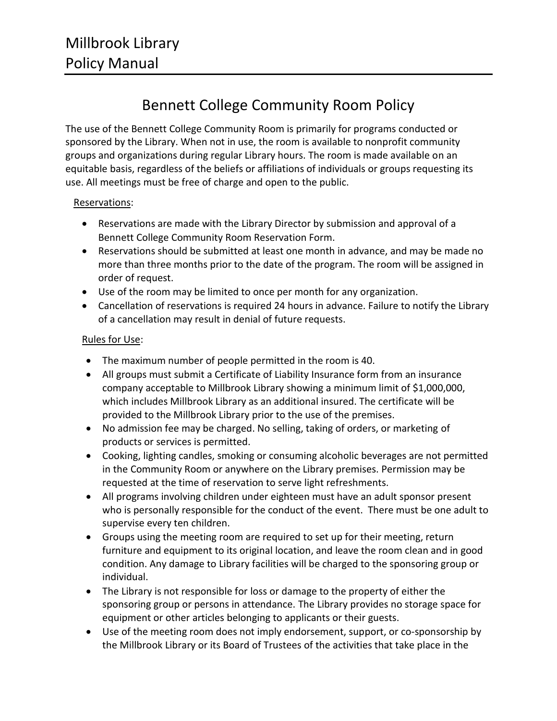## Bennett College Community Room Policy

The use of the Bennett College Community Room is primarily for programs conducted or sponsored by the Library. When not in use, the room is available to nonprofit community groups and organizations during regular Library hours. The room is made available on an equitable basis, regardless of the beliefs or affiliations of individuals or groups requesting its use. All meetings must be free of charge and open to the public.

## Reservations:

- Reservations are made with the Library Director by submission and approval of a Bennett College Community Room Reservation Form.
- Reservations should be submitted at least one month in advance, and may be made no more than three months prior to the date of the program. The room will be assigned in order of request.
- Use of the room may be limited to once per month for any organization.
- Cancellation of reservations is required 24 hours in advance. Failure to notify the Library of a cancellation may result in denial of future requests.

## Rules for Use:

- The maximum number of people permitted in the room is 40.
- All groups must submit a Certificate of Liability Insurance form from an insurance company acceptable to Millbrook Library showing a minimum limit of \$1,000,000, which includes Millbrook Library as an additional insured. The certificate will be provided to the Millbrook Library prior to the use of the premises.
- No admission fee may be charged. No selling, taking of orders, or marketing of products or services is permitted.
- Cooking, lighting candles, smoking or consuming alcoholic beverages are not permitted in the Community Room or anywhere on the Library premises. Permission may be requested at the time of reservation to serve light refreshments.
- All programs involving children under eighteen must have an adult sponsor present who is personally responsible for the conduct of the event. There must be one adult to supervise every ten children.
- Groups using the meeting room are required to set up for their meeting, return furniture and equipment to its original location, and leave the room clean and in good condition. Any damage to Library facilities will be charged to the sponsoring group or individual.
- The Library is not responsible for loss or damage to the property of either the sponsoring group or persons in attendance. The Library provides no storage space for equipment or other articles belonging to applicants or their guests.
- Use of the meeting room does not imply endorsement, support, or co-sponsorship by the Millbrook Library or its Board of Trustees of the activities that take place in the